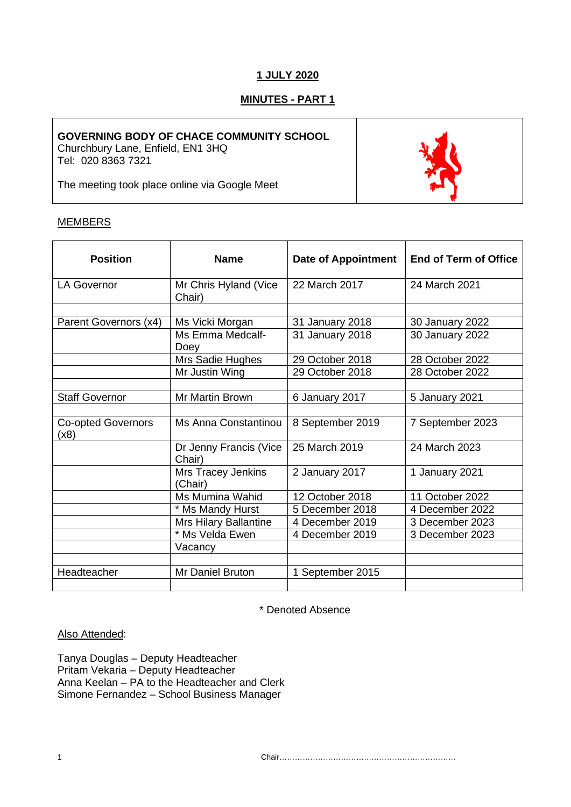# **1 JULY 2020**

# **MINUTES - PART 1**

## **GOVERNING BODY OF CHACE COMMUNITY SCHOOL**

Churchbury Lane, Enfield, EN1 3HQ Tel: 020 8363 7321

The meeting took place online via Google Meet

# **MEMBERS**

| <b>Position</b>                   | <b>Name</b>                          | <b>Date of Appointment</b> | <b>End of Term of Office</b> |
|-----------------------------------|--------------------------------------|----------------------------|------------------------------|
| <b>LA Governor</b>                | Mr Chris Hyland (Vice<br>Chair)      | 22 March 2017              | 24 March 2021                |
|                                   |                                      |                            |                              |
| Parent Governors (x4)             | Ms Vicki Morgan                      | 31 January 2018            | 30 January 2022              |
|                                   | Ms Emma Medcalf-<br>Doey             | 31 January 2018            | 30 January 2022              |
|                                   | Mrs Sadie Hughes                     | 29 October 2018            | 28 October 2022              |
|                                   | Mr Justin Wing                       | 29 October 2018            | 28 October 2022              |
|                                   |                                      |                            |                              |
| <b>Staff Governor</b>             | Mr Martin Brown                      | 6 January 2017             | 5 January 2021               |
|                                   |                                      |                            |                              |
| <b>Co-opted Governors</b><br>(x8) | Ms Anna Constantinou                 | 8 September 2019           | 7 September 2023             |
|                                   | Dr Jenny Francis (Vice<br>Chair)     | 25 March 2019              | 24 March 2023                |
|                                   | <b>Mrs Tracey Jenkins</b><br>(Chair) | 2 January 2017             | 1 January 2021               |
|                                   | Ms Mumina Wahid                      | 12 October 2018            | 11 October 2022              |
|                                   | * Ms Mandy Hurst                     | 5 December 2018            | 4 December 2022              |
|                                   | <b>Mrs Hilary Ballantine</b>         | 4 December 2019            | 3 December 2023              |
|                                   | * Ms Velda Ewen                      | 4 December 2019            | 3 December 2023              |
|                                   | Vacancy                              |                            |                              |
|                                   |                                      |                            |                              |
| Headteacher                       | Mr Daniel Bruton                     | 1 September 2015           |                              |
|                                   |                                      |                            |                              |

\* Denoted Absence

## Also Attended:

Tanya Douglas – Deputy Headteacher Pritam Vekaria – Deputy Headteacher Anna Keelan – PA to the Headteacher and Clerk Simone Fernandez – School Business Manager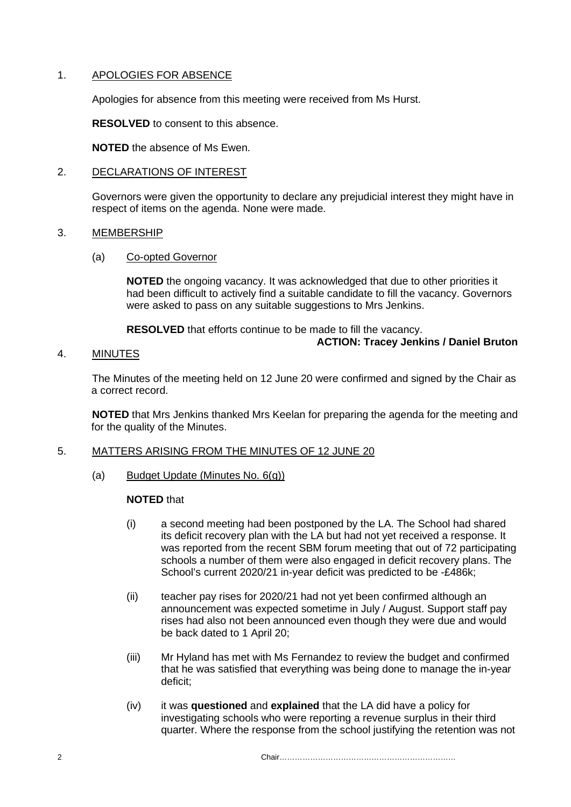## 1. APOLOGIES FOR ABSENCE

Apologies for absence from this meeting were received from Ms Hurst.

**RESOLVED** to consent to this absence.

**NOTED** the absence of Ms Ewen.

## 2. DECLARATIONS OF INTEREST

Governors were given the opportunity to declare any prejudicial interest they might have in respect of items on the agenda. None were made.

#### 3. MEMBERSHIP

#### (a) Co-opted Governor

**NOTED** the ongoing vacancy. It was acknowledged that due to other priorities it had been difficult to actively find a suitable candidate to fill the vacancy. Governors were asked to pass on any suitable suggestions to Mrs Jenkins.

**RESOLVED** that efforts continue to be made to fill the vacancy.

**ACTION: Tracey Jenkins / Daniel Bruton**

## 4. MINUTES

The Minutes of the meeting held on 12 June 20 were confirmed and signed by the Chair as a correct record.

**NOTED** that Mrs Jenkins thanked Mrs Keelan for preparing the agenda for the meeting and for the quality of the Minutes.

## 5. MATTERS ARISING FROM THE MINUTES OF 12 JUNE 20

(a) Budget Update (Minutes No. 6(g))

## **NOTED** that

- (i) a second meeting had been postponed by the LA. The School had shared its deficit recovery plan with the LA but had not yet received a response. It was reported from the recent SBM forum meeting that out of 72 participating schools a number of them were also engaged in deficit recovery plans. The School's current 2020/21 in-year deficit was predicted to be -£486k;
- (ii) teacher pay rises for 2020/21 had not yet been confirmed although an announcement was expected sometime in July / August. Support staff pay rises had also not been announced even though they were due and would be back dated to 1 April 20;
- (iii) Mr Hyland has met with Ms Fernandez to review the budget and confirmed that he was satisfied that everything was being done to manage the in-year deficit;
- (iv) it was **questioned** and **explained** that the LA did have a policy for investigating schools who were reporting a revenue surplus in their third quarter. Where the response from the school justifying the retention was not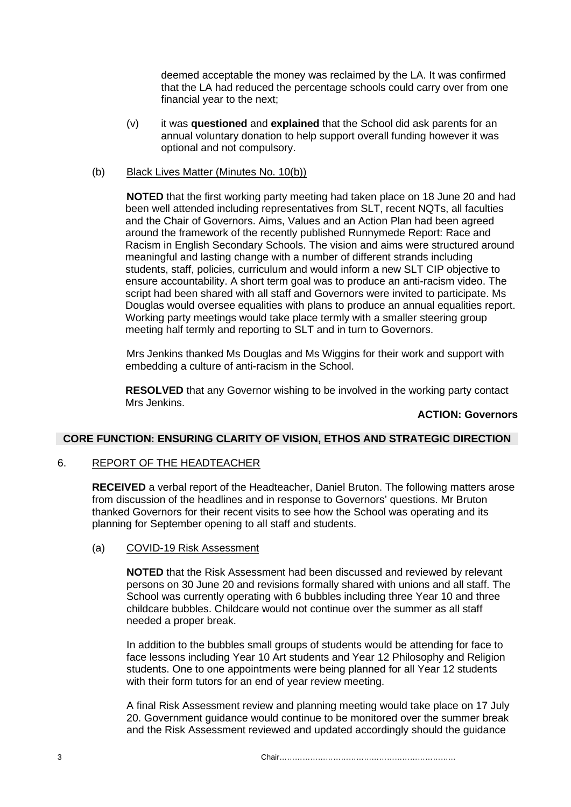deemed acceptable the money was reclaimed by the LA. It was confirmed that the LA had reduced the percentage schools could carry over from one financial year to the next;

(v) it was **questioned** and **explained** that the School did ask parents for an annual voluntary donation to help support overall funding however it was optional and not compulsory.

## (b) Black Lives Matter (Minutes No. 10(b))

**NOTED** that the first working party meeting had taken place on 18 June 20 and had been well attended including representatives from SLT, recent NQTs, all faculties and the Chair of Governors. Aims, Values and an Action Plan had been agreed around the framework of the recently published Runnymede Report: Race and Racism in English Secondary Schools. The vision and aims were structured around meaningful and lasting change with a number of different strands including students, staff, policies, curriculum and would inform a new SLT CIP objective to ensure accountability. A short term goal was to produce an anti-racism video. The script had been shared with all staff and Governors were invited to participate. Ms Douglas would oversee equalities with plans to produce an annual equalities report. Working party meetings would take place termly with a smaller steering group meeting half termly and reporting to SLT and in turn to Governors.

Mrs Jenkins thanked Ms Douglas and Ms Wiggins for their work and support with embedding a culture of anti-racism in the School.

**RESOLVED** that any Governor wishing to be involved in the working party contact Mrs Jenkins.

#### **ACTION: Governors**

#### **CORE FUNCTION: ENSURING CLARITY OF VISION, ETHOS AND STRATEGIC DIRECTION**

## 6. REPORT OF THE HEADTEACHER

**RECEIVED** a verbal report of the Headteacher, Daniel Bruton. The following matters arose from discussion of the headlines and in response to Governors' questions. Mr Bruton thanked Governors for their recent visits to see how the School was operating and its planning for September opening to all staff and students.

#### (a) COVID-19 Risk Assessment

**NOTED** that the Risk Assessment had been discussed and reviewed by relevant persons on 30 June 20 and revisions formally shared with unions and all staff. The School was currently operating with 6 bubbles including three Year 10 and three childcare bubbles. Childcare would not continue over the summer as all staff needed a proper break.

In addition to the bubbles small groups of students would be attending for face to face lessons including Year 10 Art students and Year 12 Philosophy and Religion students. One to one appointments were being planned for all Year 12 students with their form tutors for an end of year review meeting.

A final Risk Assessment review and planning meeting would take place on 17 July 20. Government guidance would continue to be monitored over the summer break and the Risk Assessment reviewed and updated accordingly should the guidance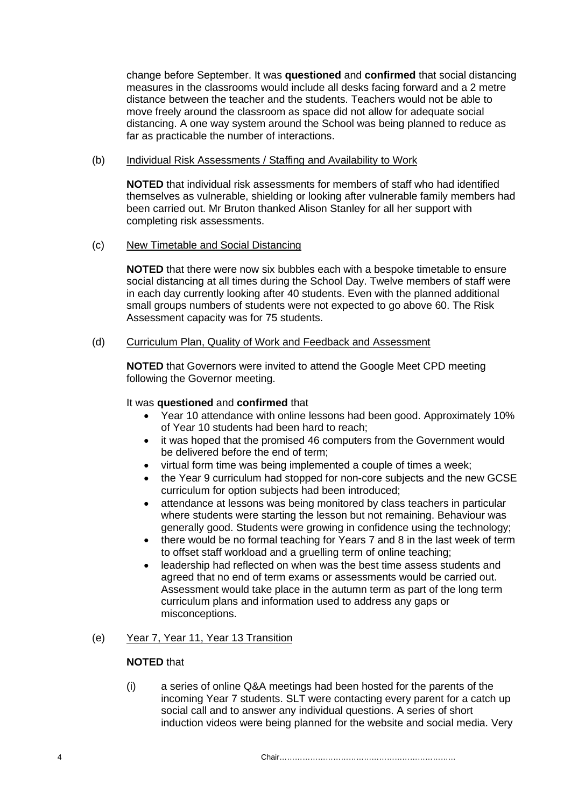change before September. It was **questioned** and **confirmed** that social distancing measures in the classrooms would include all desks facing forward and a 2 metre distance between the teacher and the students. Teachers would not be able to move freely around the classroom as space did not allow for adequate social distancing. A one way system around the School was being planned to reduce as far as practicable the number of interactions.

## (b) Individual Risk Assessments / Staffing and Availability to Work

**NOTED** that individual risk assessments for members of staff who had identified themselves as vulnerable, shielding or looking after vulnerable family members had been carried out. Mr Bruton thanked Alison Stanley for all her support with completing risk assessments.

## (c) New Timetable and Social Distancing

**NOTED** that there were now six bubbles each with a bespoke timetable to ensure social distancing at all times during the School Day. Twelve members of staff were in each day currently looking after 40 students. Even with the planned additional small groups numbers of students were not expected to go above 60. The Risk Assessment capacity was for 75 students.

## (d) Curriculum Plan, Quality of Work and Feedback and Assessment

**NOTED** that Governors were invited to attend the Google Meet CPD meeting following the Governor meeting.

## It was **questioned** and **confirmed** that

- Year 10 attendance with online lessons had been good. Approximately 10% of Year 10 students had been hard to reach;
- it was hoped that the promised 46 computers from the Government would be delivered before the end of term;
- virtual form time was being implemented a couple of times a week;
- the Year 9 curriculum had stopped for non-core subjects and the new GCSE curriculum for option subjects had been introduced;
- attendance at lessons was being monitored by class teachers in particular where students were starting the lesson but not remaining. Behaviour was generally good. Students were growing in confidence using the technology;
- there would be no formal teaching for Years 7 and 8 in the last week of term to offset staff workload and a gruelling term of online teaching;
- leadership had reflected on when was the best time assess students and agreed that no end of term exams or assessments would be carried out. Assessment would take place in the autumn term as part of the long term curriculum plans and information used to address any gaps or misconceptions.

## (e) Year 7, Year 11, Year 13 Transition

## **NOTED** that

(i) a series of online Q&A meetings had been hosted for the parents of the incoming Year 7 students. SLT were contacting every parent for a catch up social call and to answer any individual questions. A series of short induction videos were being planned for the website and social media. Very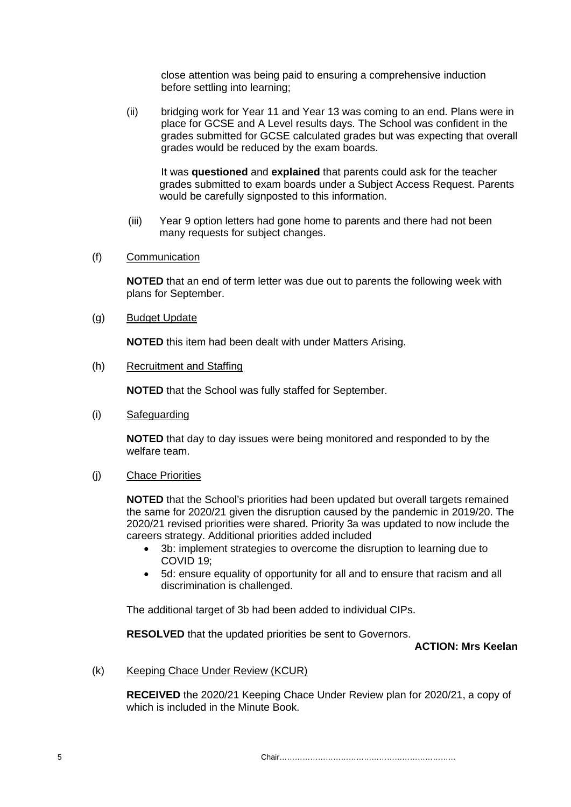close attention was being paid to ensuring a comprehensive induction before settling into learning;

(ii) bridging work for Year 11 and Year 13 was coming to an end. Plans were in place for GCSE and A Level results days. The School was confident in the grades submitted for GCSE calculated grades but was expecting that overall grades would be reduced by the exam boards.

It was **questioned** and **explained** that parents could ask for the teacher grades submitted to exam boards under a Subject Access Request. Parents would be carefully signposted to this information.

- (iii) Year 9 option letters had gone home to parents and there had not been many requests for subject changes.
- (f) Communication

**NOTED** that an end of term letter was due out to parents the following week with plans for September.

(g) Budget Update

**NOTED** this item had been dealt with under Matters Arising.

(h) Recruitment and Staffing

**NOTED** that the School was fully staffed for September.

(i) Safeguarding

**NOTED** that day to day issues were being monitored and responded to by the welfare team.

(j) Chace Priorities

**NOTED** that the School's priorities had been updated but overall targets remained the same for 2020/21 given the disruption caused by the pandemic in 2019/20. The 2020/21 revised priorities were shared. Priority 3a was updated to now include the careers strategy. Additional priorities added included

- 3b: implement strategies to overcome the disruption to learning due to COVID 19;
- 5d: ensure equality of opportunity for all and to ensure that racism and all discrimination is challenged.

The additional target of 3b had been added to individual CIPs.

**RESOLVED** that the updated priorities be sent to Governors.

**ACTION: Mrs Keelan**

(k) Keeping Chace Under Review (KCUR)

**RECEIVED** the 2020/21 Keeping Chace Under Review plan for 2020/21, a copy of which is included in the Minute Book.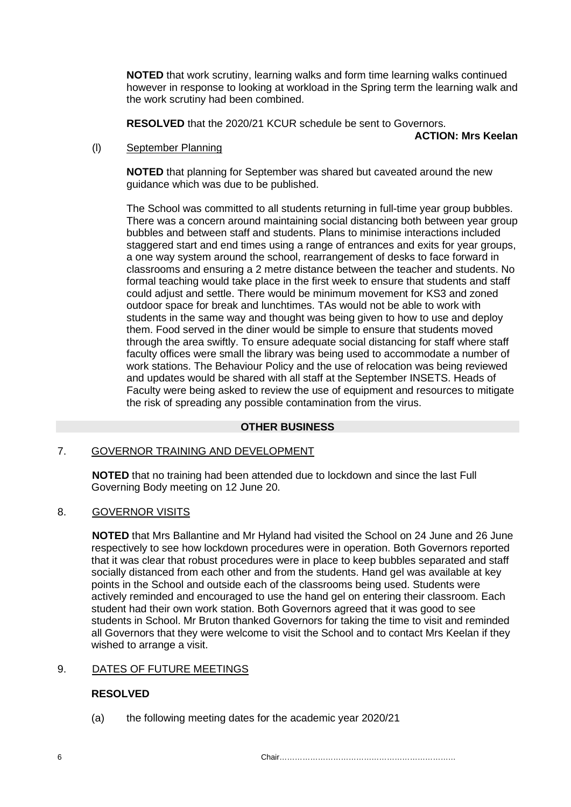**NOTED** that work scrutiny, learning walks and form time learning walks continued however in response to looking at workload in the Spring term the learning walk and the work scrutiny had been combined.

**RESOLVED** that the 2020/21 KCUR schedule be sent to Governors.

**ACTION: Mrs Keelan**

## (l) September Planning

**NOTED** that planning for September was shared but caveated around the new guidance which was due to be published.

The School was committed to all students returning in full-time year group bubbles. There was a concern around maintaining social distancing both between year group bubbles and between staff and students. Plans to minimise interactions included staggered start and end times using a range of entrances and exits for year groups, a one way system around the school, rearrangement of desks to face forward in classrooms and ensuring a 2 metre distance between the teacher and students. No formal teaching would take place in the first week to ensure that students and staff could adjust and settle. There would be minimum movement for KS3 and zoned outdoor space for break and lunchtimes. TAs would not be able to work with students in the same way and thought was being given to how to use and deploy them. Food served in the diner would be simple to ensure that students moved through the area swiftly. To ensure adequate social distancing for staff where staff faculty offices were small the library was being used to accommodate a number of work stations. The Behaviour Policy and the use of relocation was being reviewed and updates would be shared with all staff at the September INSETS. Heads of Faculty were being asked to review the use of equipment and resources to mitigate the risk of spreading any possible contamination from the virus.

# **OTHER BUSINESS**

## 7. GOVERNOR TRAINING AND DEVELOPMENT

**NOTED** that no training had been attended due to lockdown and since the last Full Governing Body meeting on 12 June 20.

## 8. GOVERNOR VISITS

**NOTED** that Mrs Ballantine and Mr Hyland had visited the School on 24 June and 26 June respectively to see how lockdown procedures were in operation. Both Governors reported that it was clear that robust procedures were in place to keep bubbles separated and staff socially distanced from each other and from the students. Hand gel was available at key points in the School and outside each of the classrooms being used. Students were actively reminded and encouraged to use the hand gel on entering their classroom. Each student had their own work station. Both Governors agreed that it was good to see students in School. Mr Bruton thanked Governors for taking the time to visit and reminded all Governors that they were welcome to visit the School and to contact Mrs Keelan if they wished to arrange a visit.

# 9. DATES OF FUTURE MEETINGS

## **RESOLVED**

(a) the following meeting dates for the academic year 2020/21

 $6 \,$  Chair